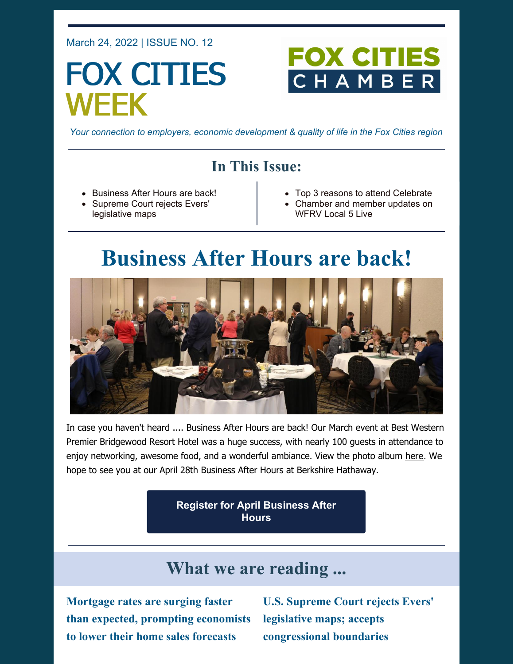March 24, 2022 | ISSUE NO. 12

# FOX CITIES WEEK

## **FOX CITIE** CHAMB

*Your connection to employers, economic development & quality of life in the Fox Cities region*

### **In This Issue:**

- Business After Hours are back!
- Supreme Court rejects Evers' legislative maps
- Top 3 reasons to attend Celebrate
- Chamber and member updates on WFRV Local 5 Live

## **Business After Hours are back!**



In case you haven't heard .... Business After Hours are back! Our March event at Best Western Premier Bridgewood Resort Hotel was a huge success, with nearly 100 guests in attendance to enjoy networking, awesome food, and a wonderful ambiance. View the photo album [here](https://www.flickr.com/photos/138046335@N06/albums/72177720297280977). We hope to see you at our April 28th Business After Hours at Berkshire Hathaway.

> **Register for April [Business](https://business.foxcitieschamber.com/events/details/2022-business-after-hours-april-17449) After Hours**

### **What we are reading ...**

**Mortgage rates are surging faster than expected, prompting economists to lower their home sales forecasts**

**U.S. Supreme Court rejects Evers' legislative maps; accepts congressional boundaries**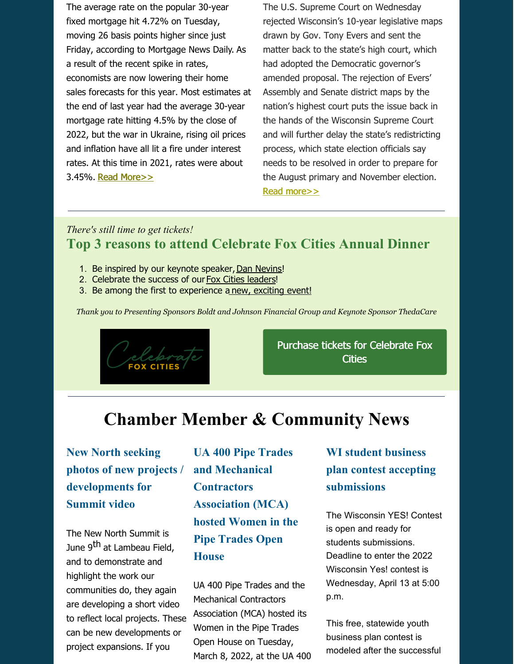The average rate on the popular 30-year fixed mortgage hit 4.72% on Tuesday, moving 26 basis points higher since just Friday, according to [Mortgage](http://www.mortgagenewsdaily.com/) News Daily. As a result of the recent spike in rates, economists are now lowering their home sales forecasts for this year. Most estimates at the end of last year had the average 30-year mortgage rate hitting 4.5% by the close of 2022, but the war in Ukraine, rising oil prices and inflation have all lit a fire under interest rates. At this time in 2021, rates were about 3.45%. Read [More>>](https://www.cnbc.com/2022/03/22/mortgage-rates-are-surging-faster-than-expected-prompting-economists-to-lower-their-home-sales-forecasts.html)

The U.S. Supreme Court on Wednesday rejected Wisconsin's 10-year legislative maps drawn by Gov. Tony Evers and sent the matter back to the state's high court, which had adopted the Democratic governor's amended proposal. The rejection of Evers' Assembly and Senate district maps by the nation's highest court puts the issue back in the hands of the Wisconsin Supreme Court and will further delay the state's redistricting process, which state election officials say needs to be resolved in order to prepare for the August primary and November election. Read [more>>](https://madison.com/news/local/govt-and-politics/u-s-supreme-court-rejects-gov-evers-legislative-maps-accepts-congressional-boundaries/article_7170e54e-ad56-518d-8165-fd27985a9108.html)

#### *There's still time to get tickets!* **Top 3 reasons to attend Celebrate Fox Cities Annual Dinner**

- 1. Be inspired by our keynote speaker, Dan [Nevins](https://youtu.be/hHKIBfq2AG4)!
- 2. Celebrate the success of our Fox Cities [leaders](https://foxcitieschamber.com/community/celebrate-fox-cities-annual-dinner/)!
- 3. Be among the first to experience a new, [exciting](https://youtu.be/m5_WqBI7Th8) event!

*Thank you to Presenting Sponsors Boldt and Johnson Financial Group and Keynote Sponsor ThedaCare*



Purchase tickets for [Celebrate](https://business.foxcitieschamber.com/events/details/celebrate-fox-cities-annual-dinner-17275) Fox **Cities** 

### **Chamber Member & Community News**

**New North seeking photos of new projects / developments for Summit video**

The New North Summit is June 9<sup>th</sup> at Lambeau Field, and to demonstrate and highlight the work our communities do, they again are developing a short video to reflect local projects. These can be new developments or project expansions. If you

**UA 400 Pipe Trades and Mechanical Contractors Association (MCA) hosted Women in the Pipe Trades Open House**

UA 400 Pipe Trades and the Mechanical Contractors Association (MCA) hosted its Women in the Pipe Trades Open House on Tuesday, March 8, 2022, at the UA 400

### **WI student business plan contest accepting submissions**

The Wisconsin YES! Contest is open and ready for students submissions. Deadline to enter the 2022 Wisconsin Yes! contest is Wednesday, April 13 at 5:00 p.m.

This free, statewide youth business plan contest is modeled after the successful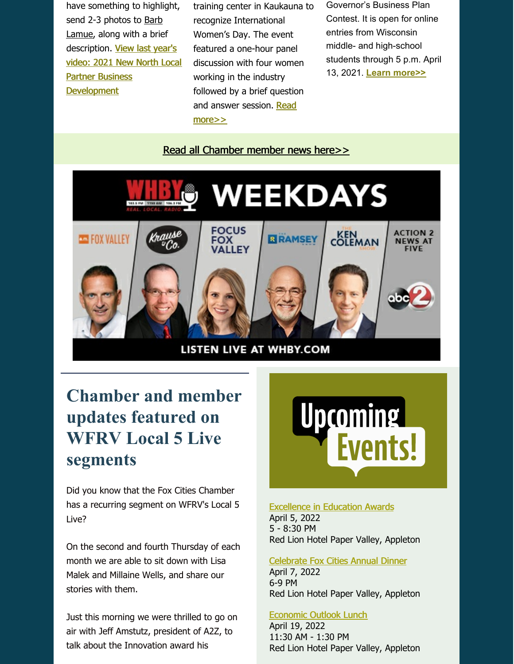have something to highlight, send 2-3 photos to Barb [Lamue,](mailto:barb.lamue@thenewnorth.com) along with a brief description. View last year's video: 2021 New North Local Partner Business **[Development](https://newnorthsummit.com/videos/)** 

training center in Kaukauna to recognize International Women's Day. The event featured a one-hour panel discussion with four women working in the industry followed by a brief question and answer session. Read [more>>](https://foxcitieschamber.com/news/2022/03/24/member-news/ua-400-pipe-trades-and-the-mechanical-contractors-association-host-women-in-the-pipe-trades-open-house/)

Governor's Business Plan Contest. It is open for online entries from Wisconsin middle- and high-school students through 5 p.m. April 13, 2021. **Learn [more>>](http://www.wisconsinyes.com)**

#### Read all [Chamber](https://foxcitieschamber.com/news/1/) member news here>>



### **Chamber and member updates featured on WFRV Local 5 Live segments**

Did you know that the Fox Cities Chamber has a recurring segment on WFRV's Local 5 Live?

On the second and fourth Thursday of each month we are able to sit down with Lisa Malek and Millaine Wells, and share our stories with them.

Just this morning we were thrilled to go on air with Jeff Amstutz, president of A2Z, to talk about the Innovation award his



#### [Excellence](https://foxcitieschamber.com/talent/excellence-in-education-awards-fox-cities-chamber/) in Education Awards April 5, 2022 5 - 8:30 PM Red Lion Hotel Paper Valley, Appleton

#### [Celebrate](https://business.foxcitieschamber.com/events/details/celebrate-fox-cities-annual-dinner-17275) Fox Cities Annual Dinner

April 7, 2022 6-9 PM Red Lion Hotel Paper Valley, Appleton

#### [Economic](https://business.foxcitieschamber.com/events/details/2022-economic-outlook-lunch-17239) Outlook Lunch

April 19, 2022 11:30 AM - 1:30 PM Red Lion Hotel Paper Valley, Appleton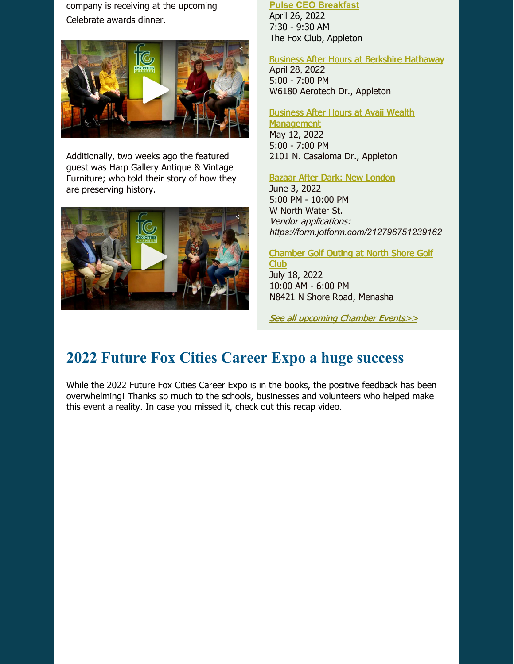company is receiving at the upcoming Celebrate awards dinner.



Additionally, two weeks ago the featured guest was Harp Gallery Antique & Vintage Furniture; who told their story of how they are preserving history.



#### **Pulse CEO [Breakfast](https://business.foxcitieschamber.com/events/details/2022-pulse-ceo-breakfast-17452)**

April 26, 2022 7:30 - 9:30 AM The Fox Club, Appleton

#### Business After Hours at Berkshire [Hathaway](https://business.foxcitieschamber.com/events/details/2022-business-after-hours-april-17449)

April 28, 2022 5:00 - 7:00 PM W6180 Aerotech Dr., Appleton

#### Business After Hours at Avaii Wealth

**[Management](https://business.foxcitieschamber.com/events/details/2022-business-after-hours-may-17450)** May 12, 2022 5:00 - 7:00 PM 2101 N. Casaloma Dr., Appleton

#### Bazaar After Dark: New [London](https://business.foxcitieschamber.com/events/details/bazaar-after-dark-new-london-17395)

June 3, 2022 5:00 PM - 10:00 PM W North Water St. Vendor applications: *<https://form.jotform.com/212796751239162>*

[Chamber](https://business.foxcitieschamber.com/events/details/2022-fox-cities-chamber-golf-outing-north-shore-golf-club-17346) Golf Outing at North Shore Golf Club July 18, 2022 10:00 AM - 6:00 PM N8421 N Shore Road, Menasha

See all [upcoming](https://business.foxcitieschamber.com/events/catgid/6) Chamber Events>>

### **2022 Future Fox Cities Career Expo a huge success**

While the 2022 Future Fox Cities Career Expo is in the books, the positive feedback has been overwhelming! Thanks so much to the schools, businesses and volunteers who helped make this event a reality. In case you missed it, check out this recap video.